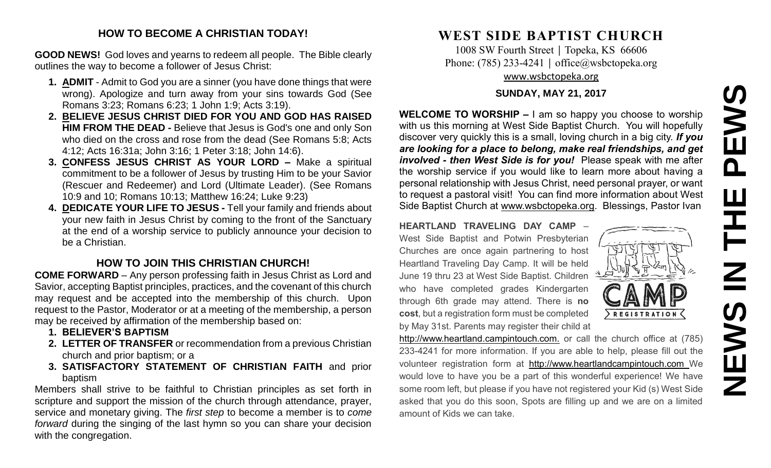# **NEWS IN THE PEWS**EWS  $\overline{\mathbf{a}}$ 즌  $\overline{z}$ NEWS

#### **HOW TO BECOME A CHRISTIAN TODAY!**

**GOOD NEWS!** God loves and yearns to redeem all people. The Bible clearly outlines the way to become a follower of Jesus Christ:

- **1. ADMIT** Admit to God you are a sinner (you have done things that were wrong). Apologize and turn away from your sins towards God (See Romans 3:23; Romans 6:23; 1 John 1:9; Acts 3:19).
- **2. BELIEVE JESUS CHRIST DIED FOR YOU AND GOD HAS RAISED HIM FROM THE DEAD -** Believe that Jesus is God's one and only Son who died on the cross and rose from the dead (See Romans 5:8; Acts 4:12; Acts 16:31a; John 3:16; 1 Peter 3:18; John 14:6).
- **3. CONFESS JESUS CHRIST AS YOUR LORD –** Make a spiritual commitment to be a follower of Jesus by trusting Him to be your Savior (Rescuer and Redeemer) and Lord (Ultimate Leader). (See Romans 10:9 and 10; Romans 10:13; Matthew 16:24; Luke 9:23)
- **4. DEDICATE YOUR LIFE TO JESUS -** Tell your family and friends about your new faith in Jesus Christ by coming to the front of the Sanctuary at the end of a worship service to publicly announce your decision to be a Christian.

#### **HOW TO JOIN THIS CHRISTIAN CHURCH!**

**COME FORWARD** – Any person professing faith in Jesus Christ as Lord and Savior, accepting Baptist principles, practices, and the covenant of this church may request and be accepted into the membership of this church. Upon request to the Pastor, Moderator or at a meeting of the membership, a person may be received by affirmation of the membership based on:

- **1. BELIEVER'S BAPTISM**
- **2. LETTER OF TRANSFER** or recommendation from a previous Christian church and prior baptism; or a
- **3. SATISFACTORY STATEMENT OF CHRISTIAN FAITH** and prior baptism

Members shall strive to be faithful to Christian principles as set forth in scripture and support the mission of the church through attendance, prayer, service and monetary giving. The *first step* to become a member is to *come forward* during the singing of the last hymn so you can share your decision with the congregation.

## **WEST SIDE BAPTIST CHURCH**

1008 SW Fourth Street | Topeka, KS 66606 Phone: (785) 233-4241 │ [office@wsbctopeka.org](mailto:office@wsbctopeka.org) [www.wsbctopeka.org](http://www.wsbctopeka.org/)

#### **SUNDAY, MAY 21, 2017**

**WELCOME TO WORSHIP –** I am so happy you choose to worship with us this morning at West Side Baptist Church. You will hopefully discover very quickly this is a small, loving church in a big city. *If you are looking for a place to belong, make real friendships, and get involved - then West Side is for you!* Please speak with me after the worship service if you would like to learn more about having a personal relationship with Jesus Christ, need personal prayer, or want to request a pastoral visit! You can find more information about West Side Baptist Church at [www.wsbctopeka.org.](http://www.wsbctopeka.org/) Blessings, Pastor Ivan

**HEARTLAND TRAVELING DAY CAMP** – West Side Baptist and Potwin Presbyterian Churches are once again partnering to host Heartland Traveling Day Camp. It will be held June 19 thru 23 at West Side Baptist. Children who have completed grades Kindergarten through 6th grade may attend. There is **no cost**, but a registration form must be completed by May 31st. Parents may register their child at



http://www.heartland.campintouch.com. or call the church office at (785) 233-4241 for more information. If you are able to help, please fill out the volunteer registration form at [http://www.heartlandcampintouch.com](http://www.heartlandcampintouch.com/) We would love to have you be a part of this wonderful experience! We have some room left, but please if you have not registered your Kid (s) West Side asked that you do this soon, Spots are filling up and we are on a limited amount of Kids we can take.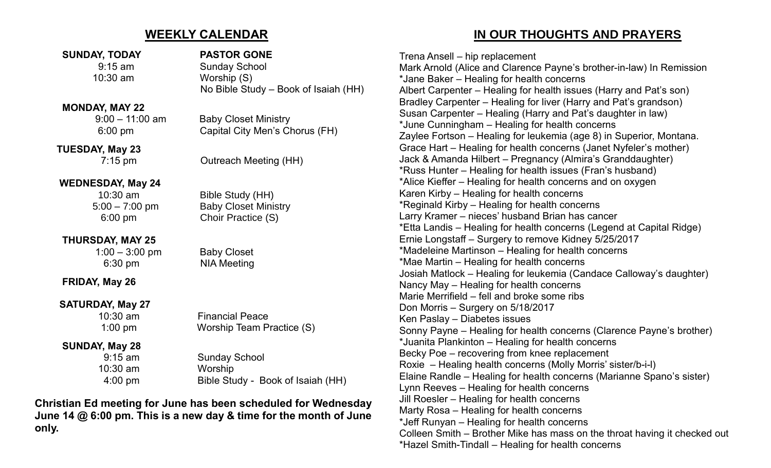### **WEEKLY CALENDAR**

#### **SUNDAY, TODAY PASTOR GONE**

#### **MONDAY, MAY 22**

 **TUESDAY, May 23**

#### **WEDNESDAY, May 24**

#### **THURSDAY, MAY 25**

 1:00 – 3:00 pm Baby Closet 6:30 pm NIA Meeting

**FRIDAY, May 26**

#### **SATURDAY, May 27**

#### **SUNDAY, May 28**

10:30 am Worship

9:15 am Sunday School 10:30 am Worship (S) No Bible Study – Book of Isaiah (HH)

 9:00 – 11:00 am Baby Closet Ministry 6:00 pm Capital City Men's Chorus (FH)

7:15 pm Outreach Meeting (HH)

 10:30 am Bible Study (HH) 5:00 – 7:00 pm Baby Closet Ministry 6:00 pm Choir Practice (S)

 10:30 am Financial Peace 1:00 pm Worship Team Practice (S)

 9:15 am Sunday School 4:00 pm Bible Study - Book of Isaiah (HH)

**Christian Ed meeting for June has been scheduled for Wednesday June 14 @ 6:00 pm. This is a new day & time for the month of June only.**

## **IN OUR THOUGHTS AND PRAYERS**

Trena Ansell – hip replacement Mark Arnold (Alice and Clarence Payne's brother-in-law) In Remission \*Jane Baker – Healing for health concerns Albert Carpenter – Healing for health issues (Harry and Pat's son) Bradley Carpenter – Healing for liver (Harry and Pat's grandson) Susan Carpenter – Healing (Harry and Pat's daughter in law) \*June Cunningham – Healing for health concerns Zaylee Fortson – Healing for leukemia (age 8) in Superior, Montana. Grace Hart – Healing for health concerns (Janet Nyfeler's mother) Jack & Amanda Hilbert – Pregnancy (Almira's Granddaughter) \*Russ Hunter – Healing for health issues (Fran's husband) \*Alice Kieffer – Healing for health concerns and on oxygen Karen Kirby – Healing for health concerns \*Reginald Kirby – Healing for health concerns Larry Kramer – nieces' husband Brian has cancer \*Etta Landis – Healing for health concerns (Legend at Capital Ridge) Ernie Longstaff – Surgery to remove Kidney 5/25/2017 \*Madeleine Martinson – Healing for health concerns \*Mae Martin – Healing for health concerns Josiah Matlock – Healing for leukemia (Candace Calloway's daughter) Nancy May – Healing for health concerns Marie Merrifield – fell and broke some ribs Don Morris – Surgery on 5/18/2017 Ken Paslay – Diabetes issues Sonny Payne – Healing for health concerns (Clarence Payne's brother) \*Juanita Plankinton – Healing for health concerns Becky Poe – recovering from knee replacement Roxie – Healing health concerns (Molly Morris' sister/b-i-l) Elaine Randle – Healing for health concerns (Marianne Spano's sister) Lynn Reeves – Healing for health concerns Jill Roesler – Healing for health concerns Marty Rosa – Healing for health concerns \*Jeff Runyan – Healing for health concerns Colleen Smith – Brother Mike has mass on the throat having it checked out \*Hazel Smith-Tindall – Healing for health concerns